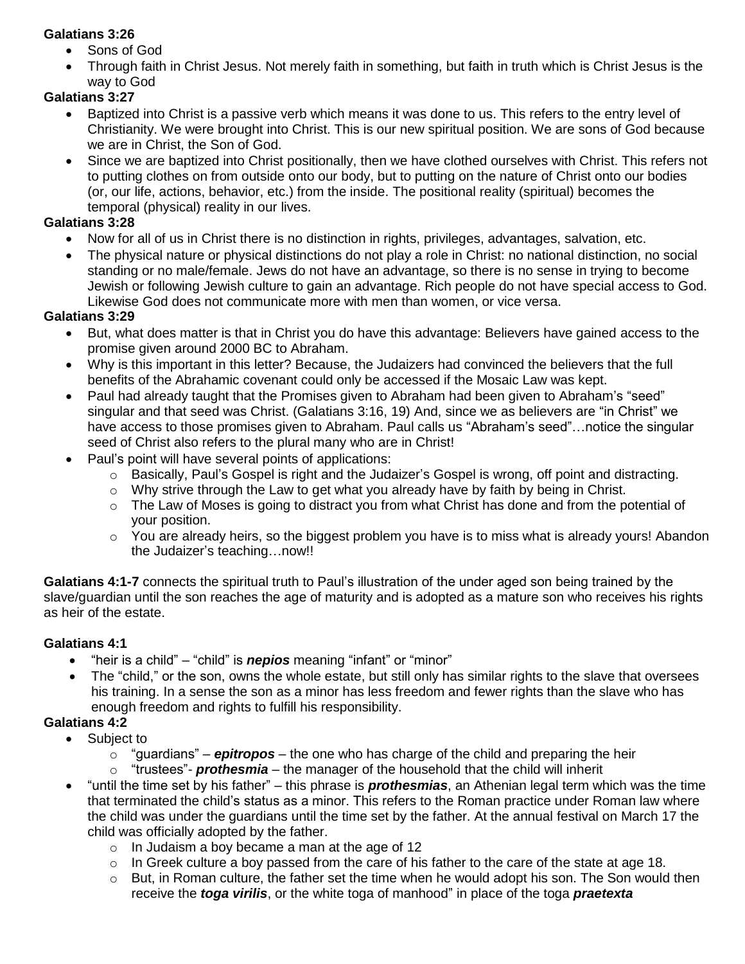#### **Galatians 3:26**

- Sons of God
- Through faith in Christ Jesus. Not merely faith in something, but faith in truth which is Christ Jesus is the way to God

## **Galatians 3:27**

- Baptized into Christ is a passive verb which means it was done to us. This refers to the entry level of Christianity. We were brought into Christ. This is our new spiritual position. We are sons of God because we are in Christ, the Son of God.
- Since we are baptized into Christ positionally, then we have clothed ourselves with Christ. This refers not to putting clothes on from outside onto our body, but to putting on the nature of Christ onto our bodies (or, our life, actions, behavior, etc.) from the inside. The positional reality (spiritual) becomes the temporal (physical) reality in our lives.

### **Galatians 3:28**

- Now for all of us in Christ there is no distinction in rights, privileges, advantages, salvation, etc.
- The physical nature or physical distinctions do not play a role in Christ: no national distinction, no social standing or no male/female. Jews do not have an advantage, so there is no sense in trying to become Jewish or following Jewish culture to gain an advantage. Rich people do not have special access to God. Likewise God does not communicate more with men than women, or vice versa.

### **Galatians 3:29**

- But, what does matter is that in Christ you do have this advantage: Believers have gained access to the promise given around 2000 BC to Abraham.
- Why is this important in this letter? Because, the Judaizers had convinced the believers that the full benefits of the Abrahamic covenant could only be accessed if the Mosaic Law was kept.
- Paul had already taught that the Promises given to Abraham had been given to Abraham's "seed" singular and that seed was Christ. (Galatians 3:16, 19) And, since we as believers are "in Christ" we have access to those promises given to Abraham. Paul calls us "Abraham's seed"…notice the singular seed of Christ also refers to the plural many who are in Christ!
- Paul's point will have several points of applications:
	- $\circ$  Basically, Paul's Gospel is right and the Judaizer's Gospel is wrong, off point and distracting.
	- $\circ$  Why strive through the Law to get what you already have by faith by being in Christ.
	- $\circ$  The Law of Moses is going to distract you from what Christ has done and from the potential of your position.
	- o You are already heirs, so the biggest problem you have is to miss what is already yours! Abandon the Judaizer's teaching…now!!

**Galatians 4:1-7** connects the spiritual truth to Paul's illustration of the under aged son being trained by the slave/guardian until the son reaches the age of maturity and is adopted as a mature son who receives his rights as heir of the estate.

## **Galatians 4:1**

- "heir is a child" "child" is *nepios* meaning "infant" or "minor"
- The "child," or the son, owns the whole estate, but still only has similar rights to the slave that oversees his training. In a sense the son as a minor has less freedom and fewer rights than the slave who has enough freedom and rights to fulfill his responsibility.

# **Galatians 4:2**

- Subject to
	- o "guardians" *epitropos* the one who has charge of the child and preparing the heir
	- o "trustees"- *prothesmia* the manager of the household that the child will inherit
- "until the time set by his father" this phrase is *prothesmias*, an Athenian legal term which was the time that terminated the child's status as a minor. This refers to the Roman practice under Roman law where the child was under the guardians until the time set by the father. At the annual festival on March 17 the child was officially adopted by the father.
	- o In Judaism a boy became a man at the age of 12
	- $\circ$  In Greek culture a boy passed from the care of his father to the care of the state at age 18.
	- $\circ$  But, in Roman culture, the father set the time when he would adopt his son. The Son would then receive the *toga virilis*, or the white toga of manhood" in place of the toga *praetexta*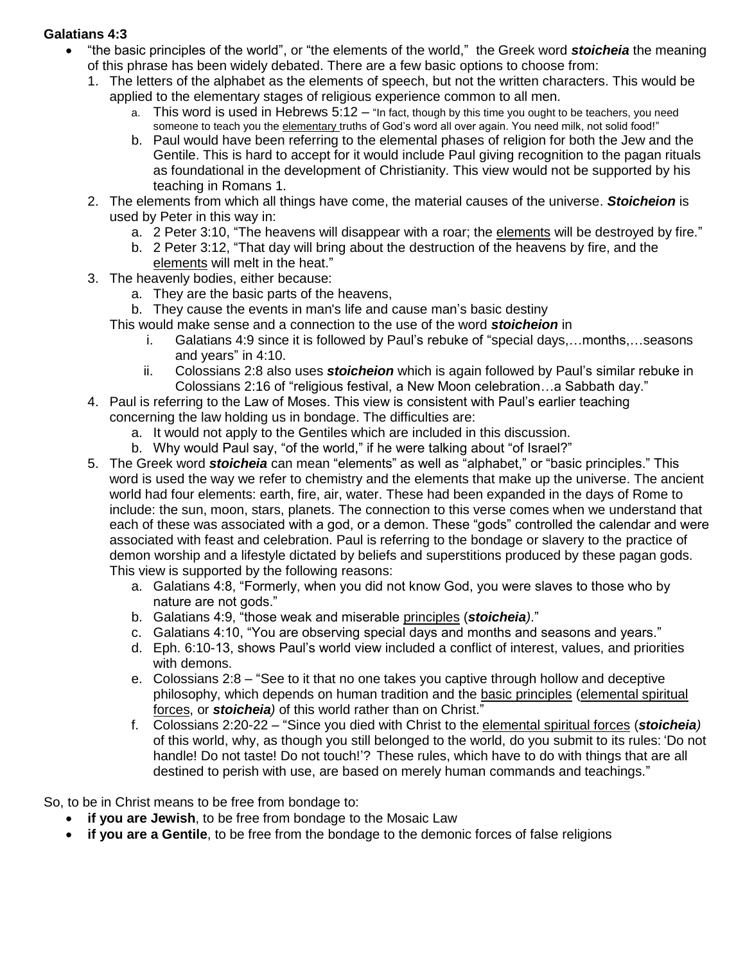#### **Galatians 4:3**

- "the basic principles of the world", or "the elements of the world," the Greek word *stoicheia* the meaning of this phrase has been widely debated. There are a few basic options to choose from:
	- 1. The letters of the alphabet as the elements of speech, but not the written characters. This would be applied to the elementary stages of religious experience common to all men.
		- a. This word is used in Hebrews  $5:12 -$  "In fact, though by this time you ought to be teachers, you need someone to teach you the elementary truths of God's word all over again. You need milk, not solid food!"
		- b. Paul would have been referring to the elemental phases of religion for both the Jew and the Gentile. This is hard to accept for it would include Paul giving recognition to the pagan rituals as foundational in the development of Christianity. This view would not be supported by his teaching in Romans 1.
	- 2. The elements from which all things have come, the material causes of the universe. *Stoicheion* is used by Peter in this way in:
		- a. 2 Peter 3:10, "The heavens will disappear with a roar; the elements will be destroyed by fire."
		- b. 2 Peter 3:12, "That day will bring about the destruction of the heavens by fire, and the elements will melt in the heat."
	- 3. The heavenly bodies, either because:
		- a. They are the basic parts of the heavens,
		- b. They cause the events in man's life and cause man's basic destiny
		- This would make sense and a connection to the use of the word *stoicheion* in
			- i. Galatians 4:9 since it is followed by Paul's rebuke of "special days,…months,…seasons and years" in 4:10.
			- ii. Colossians 2:8 also uses *stoicheion* which is again followed by Paul's similar rebuke in Colossians 2:16 of "religious festival, a New Moon celebration…a Sabbath day."
	- 4. Paul is referring to the Law of Moses. This view is consistent with Paul's earlier teaching concerning the law holding us in bondage. The difficulties are:
		- a. It would not apply to the Gentiles which are included in this discussion.
		- b. Why would Paul say, "of the world," if he were talking about "of Israel?"
	- 5. The Greek word *stoicheia* can mean "elements" as well as "alphabet," or "basic principles." This word is used the way we refer to chemistry and the elements that make up the universe. The ancient world had four elements: earth, fire, air, water. These had been expanded in the days of Rome to include: the sun, moon, stars, planets. The connection to this verse comes when we understand that each of these was associated with a god, or a demon. These "gods" controlled the calendar and were associated with feast and celebration. Paul is referring to the bondage or slavery to the practice of demon worship and a lifestyle dictated by beliefs and superstitions produced by these pagan gods. This view is supported by the following reasons:
		- a. Galatians 4:8, "Formerly, when you did not know God, you were slaves to those who by nature are not gods."
		- b. Galatians 4:9, "those weak and miserable principles (*stoicheia)*."
		- c. Galatians 4:10, "You are observing special days and months and seasons and years."
		- d. Eph. 6:10-13, shows Paul's world view included a conflict of interest, values, and priorities with demons.
		- e. Colossians 2:8 "See to it that no one takes you captive through hollow and deceptive philosophy, which depends on human tradition and the basic principles (elemental spiritual forces, or *stoicheia)* of this world rather than on Christ."
		- f. Colossians 2:20-22 "Since you died with Christ to the elemental spiritual forces (*stoicheia)* of this world, why, as though you still belonged to the world, do you submit to its rules: 'Do not handle! Do not taste! Do not touch!'? These rules, which have to do with things that are all destined to perish with use, are based on merely human commands and teachings."

So, to be in Christ means to be free from bondage to:

- **if you are Jewish**, to be free from bondage to the Mosaic Law
- **if you are a Gentile**, to be free from the bondage to the demonic forces of false religions